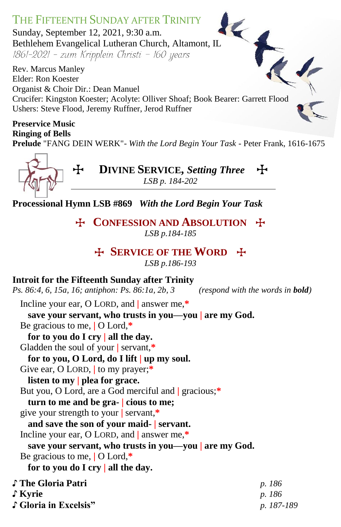

**Prelude** "FANG DEIN WERK"- *With the Lord Begin Your Task -* Peter Frank, 1616-1675



T **DIVINE SERVICE,** *Setting Three*T *LSB p. 184-202*

**Processional Hymn LSB #869** *With the Lord Begin Your Task*

**F CONFESSION AND ABSOLUTION F** *LSB p.184-185*

## T **SERVICE OF THE WORD** T

*LSB p.186-193*

#### **Introit for the Fifteenth Sunday after Trinity**

*Ps. 86:4, 6, 15a, 16; antiphon: Ps. 86:1a, 2b, 3**(respond with the words in bold)*

Incline your ear, O LORD, and **|** answer me,**\***

**save your servant, who trusts in you—you | are my God.** Be gracious to me, **|** O Lord,**\***

**for to you do I cry | all the day.**

Gladden the soul of your **|** servant,**\***

**for to you, O Lord, do I lift | up my soul.**

Give ear, O LORD, **|** to my prayer;**\***

**listen to my | plea for grace.**

But you, O Lord, are a God merciful and **|** gracious;**\***

**turn to me and be gra- | cious to me;**

give your strength to your **|** servant,**\***

**and save the son of your maid- | servant.**

Incline your ear, O LORD, and **|** answer me,**\***

**save your servant, who trusts in you—you | are my God.** Be gracious to me, **|** O Lord,**\***

**for to you do I cry | all the day.**

| ♪ The Gloria Patri    | p. 186     |
|-----------------------|------------|
| ∫ Kyrie               | p. 186     |
| ∫ Gloria in Excelsis" | p. 187-189 |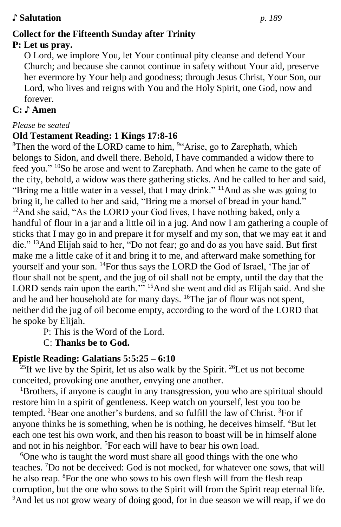#### ♪ **Salutation** *p. 189*

# **Collect for the Fifteenth Sunday after Trinity**

# **P: Let us pray.**

O Lord, we implore You, let Your continual pity cleanse and defend Your Church; and because she cannot continue in safety without Your aid, preserve her evermore by Your help and goodness; through Jesus Christ, Your Son, our Lord, who lives and reigns with You and the Holy Spirit, one God, now and forever.

## **C:** ♪ **Amen**

#### *Please be seated*

#### **Old Testament Reading: 1 Kings 17:8-16**

<sup>8</sup>Then the word of the LORD came to him,  $94$ <sup>c</sup>Arise, go to Zarephath, which belongs to Sidon, and dwell there. Behold, I have commanded a widow there to feed you." <sup>10</sup>So he arose and went to Zarephath. And when he came to the gate of the city, behold, a widow was there gathering sticks. And he called to her and said, "Bring me a little water in a vessel, that I may drink." <sup>11</sup>And as she was going to bring it, he called to her and said, "Bring me a morsel of bread in your hand." <sup>12</sup>And she said, "As the LORD your God lives, I have nothing baked, only a handful of flour in a jar and a little oil in a jug. And now I am gathering a couple of sticks that I may go in and prepare it for myself and my son, that we may eat it and die." <sup>13</sup>And Elijah said to her, "Do not fear; go and do as you have said. But first make me a little cake of it and bring it to me, and afterward make something for yourself and your son. <sup>14</sup>For thus says the LORD the God of Israel, 'The jar of flour shall not be spent, and the jug of oil shall not be empty, until the day that the LORD sends rain upon the earth."<sup>3</sup> <sup>15</sup>And she went and did as Elijah said. And she and he and her household ate for many days. <sup>16</sup>The jar of flour was not spent, neither did the jug of oil become empty, according to the word of the LORD that he spoke by Elijah.

P: This is the Word of the Lord.

C: **Thanks be to God.**

### **Epistle Reading: Galatians 5:5:25 – 6:10**

<sup>25</sup>If we live by the Spirit, let us also walk by the Spirit. <sup>26</sup>Let us not become conceited, provoking one another, envying one another.

<sup>1</sup>Brothers, if anyone is caught in any transgression, you who are spiritual should restore him in a spirit of gentleness. Keep watch on yourself, lest you too be tempted. <sup>2</sup>Bear one another's burdens, and so fulfill the law of Christ. <sup>3</sup>For if anyone thinks he is something, when he is nothing, he deceives himself. <sup>4</sup>But let each one test his own work, and then his reason to boast will be in himself alone and not in his neighbor. <sup>5</sup>For each will have to bear his own load.

<sup>6</sup>One who is taught the word must share all good things with the one who teaches. <sup>7</sup>Do not be deceived: God is not mocked, for whatever one sows, that will he also reap. <sup>8</sup>For the one who sows to his own flesh will from the flesh reap corruption, but the one who sows to the Spirit will from the Spirit reap eternal life. <sup>9</sup>And let us not grow weary of doing good, for in due season we will reap, if we do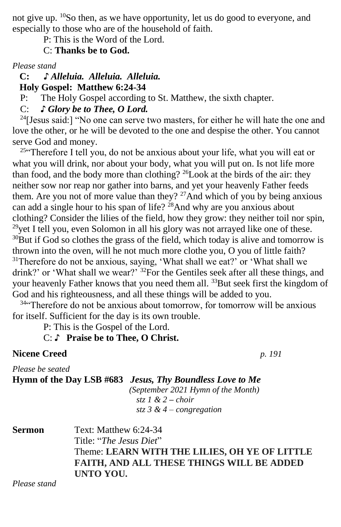not give up. <sup>10</sup>So then, as we have opportunity, let us do good to everyone, and especially to those who are of the household of faith.

P: This is the Word of the Lord.

C: **Thanks be to God.**

*Please stand*

 **C: ♪** *Alleluia. Alleluia. Alleluia.*

 **Holy Gospel: Matthew 6:24-34**

P: The Holy Gospel according to St. Matthew, the sixth chapter.

C: *♪ Glory be to Thee, O Lord.*

 $24$ [Jesus said:] "No one can serve two masters, for either he will hate the one and love the other, or he will be devoted to the one and despise the other. You cannot serve God and money.

<sup>25"</sup>Therefore I tell you, do not be anxious about your life, what you will eat or what you will drink, nor about your body, what you will put on. Is not life more than food, and the body more than clothing? <sup>26</sup>Look at the birds of the air: they neither sow nor reap nor gather into barns, and yet your heavenly Father feeds them. Are you not of more value than they?  $27$ And which of you by being anxious can add a single hour to his span of life?  $28$ And why are you anxious about clothing? Consider the lilies of the field, how they grow: they neither toil nor spin, <sup>29</sup>yet I tell you, even Solomon in all his glory was not arrayed like one of these.  $30$ But if God so clothes the grass of the field, which today is alive and tomorrow is thrown into the oven, will he not much more clothe you, O you of little faith? <sup>31</sup>Therefore do not be anxious, saying, 'What shall we eat?' or 'What shall we drink?' or 'What shall we wear?' <sup>32</sup>For the Gentiles seek after all these things, and your heavenly Father knows that you need them all. <sup>33</sup>But seek first the kingdom of God and his righteousness, and all these things will be added to you.

<sup>34"</sup>Therefore do not be anxious about tomorrow, for tomorrow will be anxious for itself. Sufficient for the day is its own trouble.

P: This is the Gospel of the Lord.

C: ♪ **Praise be to Thee, O Christ.**

**Nicene Creed** *p. 191*

*Please be seated*

**Hymn of the Day LSB #683** *Jesus, Thy Boundless Love to Me (September 2021 Hymn of the Month) stz 1 & 2* **–** *choir stz 3 & 4 – congregation*

| <b>Sermon</b> | Text: Matthew 6:24-34                            |
|---------------|--------------------------------------------------|
|               | Title: " <i>The Jesus Diet</i> "                 |
|               | Theme: LEARN WITH THE LILIES, OH YE OF LITTLE    |
|               | <b>FAITH, AND ALL THESE THINGS WILL BE ADDED</b> |
|               | UNTO YOU.                                        |

*Please stand*